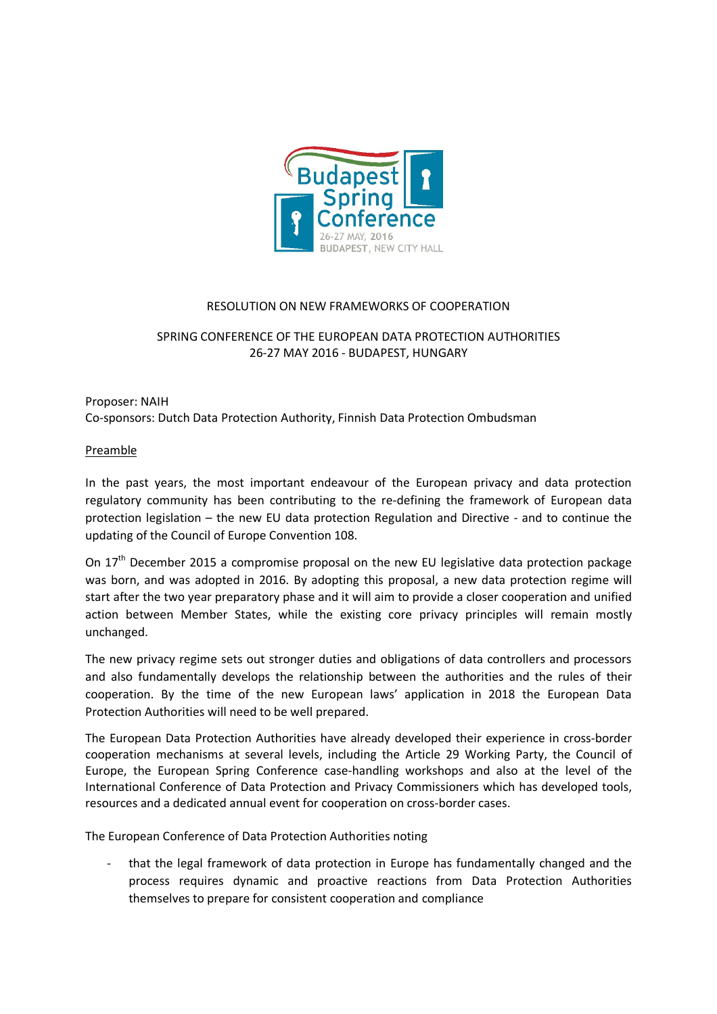

## RESOLUTION ON NEW FRAMEWORKS OF COOPERATION

## SPRING CONFERENCE OF THE EUROPEAN DATA PROTECTION AUTHORITIES 26-27 MAY 2016 - BUDAPEST, HUNGARY

## Proposer: NAIH Co-sponsors: Dutch Data Protection Authority, Finnish Data Protection Ombudsman

## Preamble

In the past years, the most important endeavour of the European privacy and data protection regulatory community has been contributing to the re-defining the framework of European data protection legislation – the new EU data protection Regulation and Directive - and to continue the updating of the Council of Europe Convention 108.

On  $17<sup>th</sup>$  December 2015 a compromise proposal on the new EU legislative data protection package was born, and was adopted in 2016. By adopting this proposal, a new data protection regime will start after the two year preparatory phase and it will aim to provide a closer cooperation and unified action between Member States, while the existing core privacy principles will remain mostly unchanged.

The new privacy regime sets out stronger duties and obligations of data controllers and processors and also fundamentally develops the relationship between the authorities and the rules of their cooperation. By the time of the new European laws' application in 2018 the European Data Protection Authorities will need to be well prepared.

The European Data Protection Authorities have already developed their experience in cross-border cooperation mechanisms at several levels, including the Article 29 Working Party, the Council of Europe, the European Spring Conference case-handling workshops and also at the level of the International Conference of Data Protection and Privacy Commissioners which has developed tools, resources and a dedicated annual event for cooperation on cross-border cases.

The European Conference of Data Protection Authorities noting

- that the legal framework of data protection in Europe has fundamentally changed and the process requires dynamic and proactive reactions from Data Protection Authorities themselves to prepare for consistent cooperation and compliance